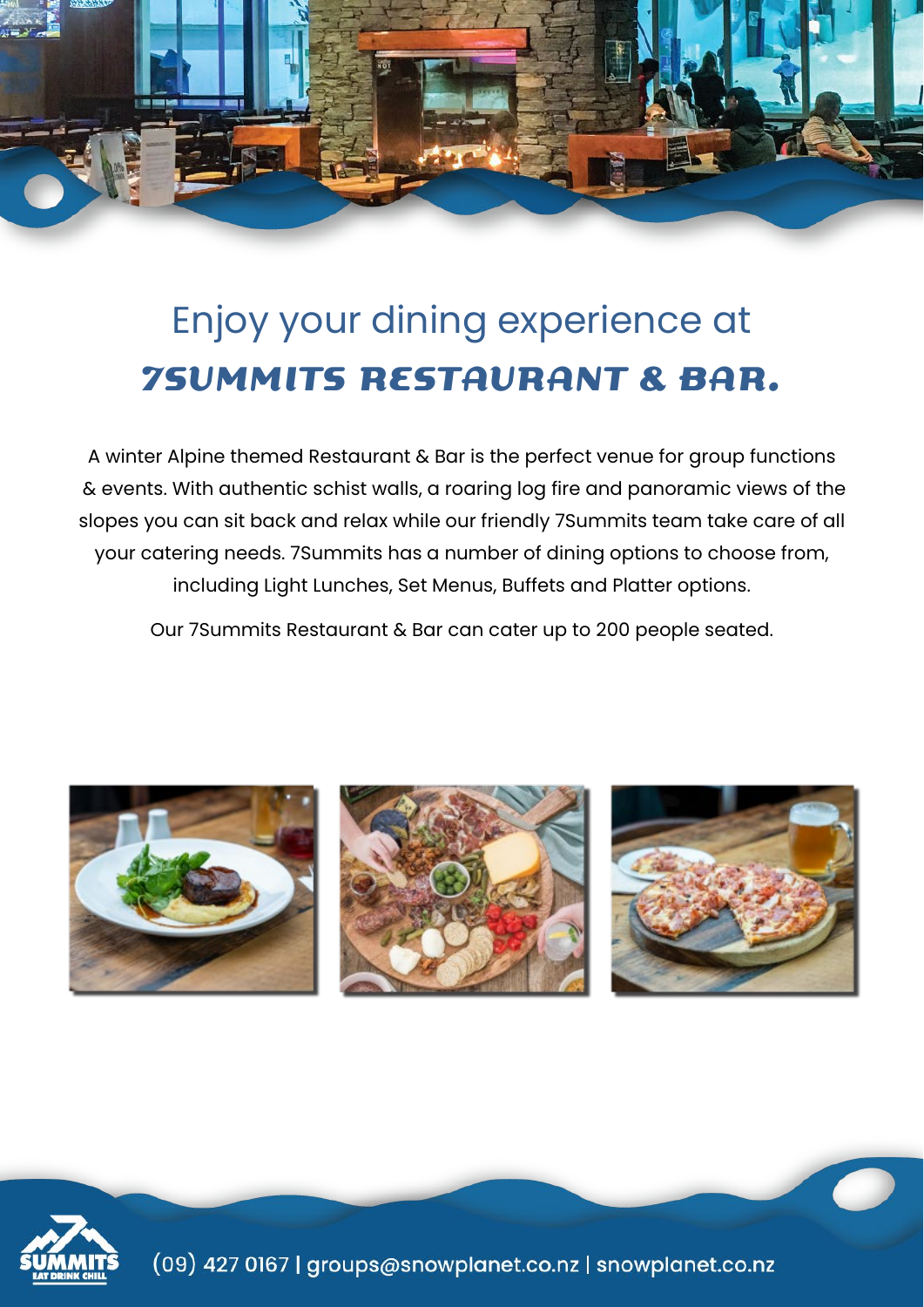

# Enjoy your dining experience at **7SUMMITS RESTAURANT & BAR.**

A winter Alpine themed Restaurant & Bar is the perfect venue for group functions & events. With authentic schist walls, a roaring log fire and panoramic views of the slopes you can sit back and relax while our friendly 7Summits team take care of all your catering needs. 7Summits has a number of dining options to choose from, including Light Lunches, Set Menus, Buffets and Platter options.

Our 7Summits Restaurant & Bar can cater up to 200 people seated.



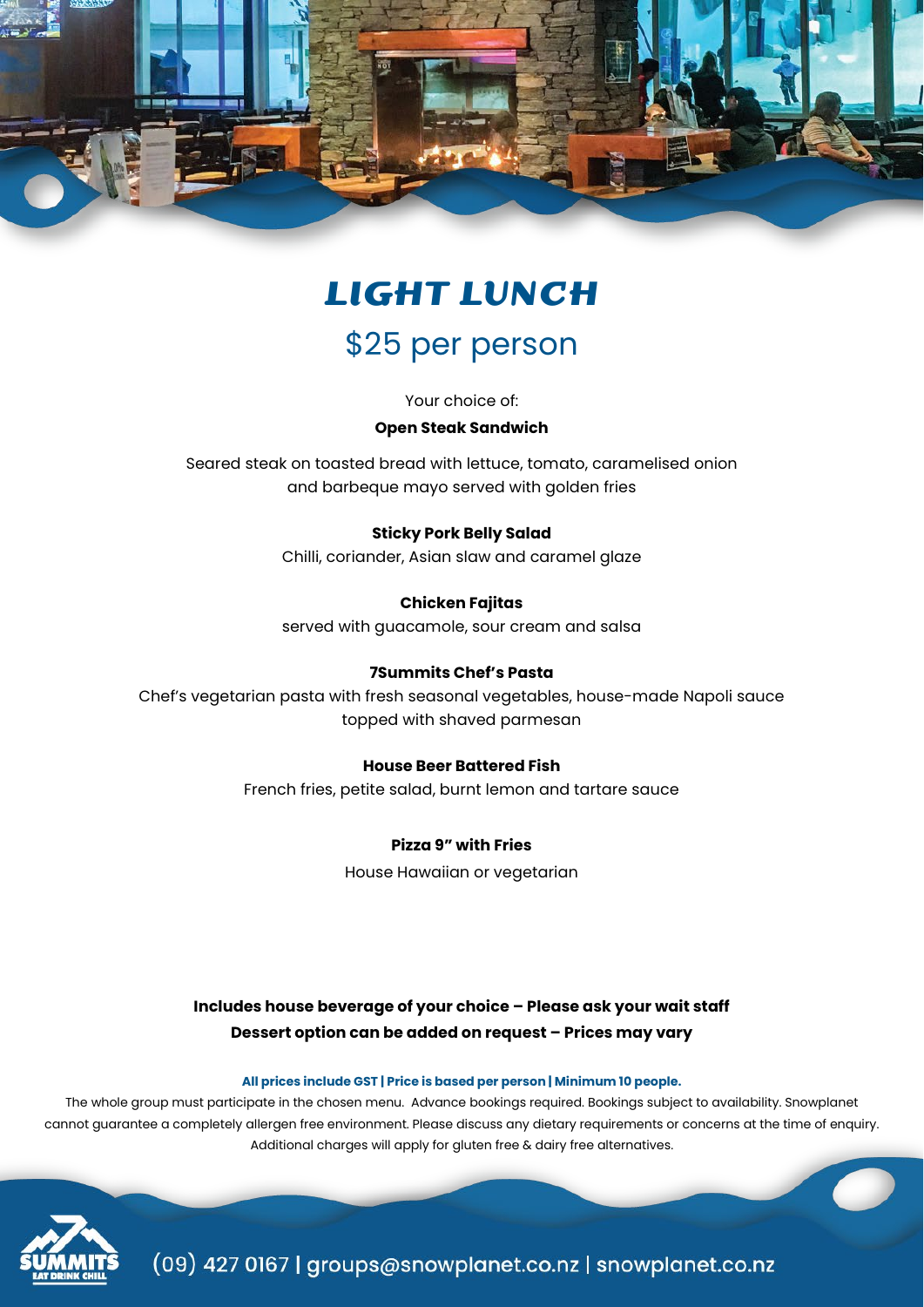

# **LIGHT LUNCH**

# \$25 per person

Your choice of:

#### **Open Steak Sandwich**

Seared steak on toasted bread with lettuce, tomato, caramelised onion and barbeque mayo served with golden fries

## **Sticky Pork Belly Salad**

Chilli, coriander, Asian slaw and caramel glaze

**Chicken Fajitas** served with guacamole, sour cream and salsa

# **7Summits Chef's Pasta**

Chef's vegetarian pasta with fresh seasonal vegetables, house-made Napoli sauce topped with shaved parmesan

## **House Beer Battered Fish**

French fries, petite salad, burnt lemon and tartare sauce

## **Pizza 9" with Fries**

House Hawaiian or vegetarian

# **Includes house beverage of your choice – Please ask your wait staff Dessert option can be added on request – Prices may vary**

#### **All prices include GST | Price is based per person | Minimum 10 people.**

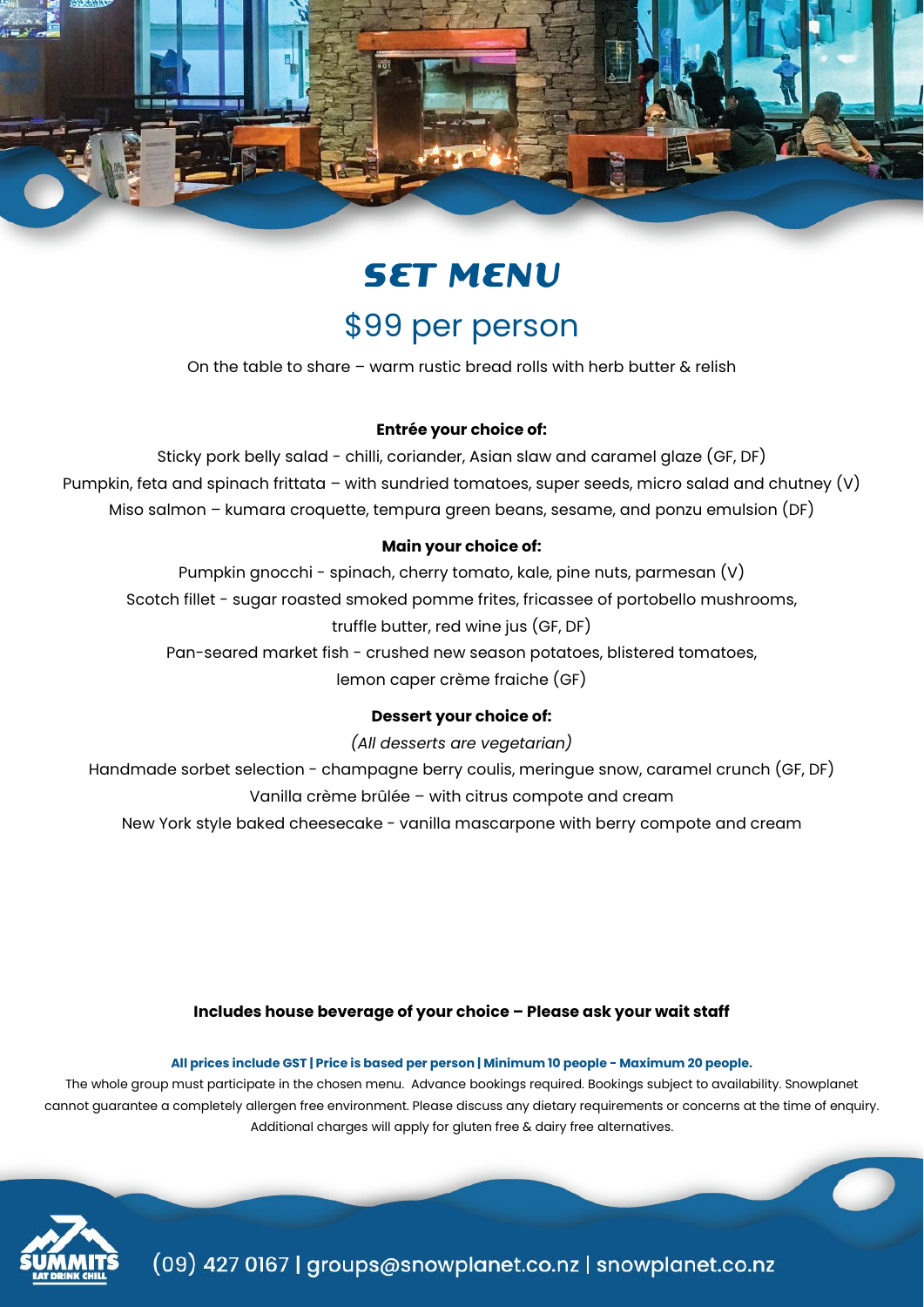

# **SET MENU**

# \$99 per person

On the table to share – warm rustic bread rolls with herb butter & relish

# **Entrée your choice of:**

Sticky pork belly salad - chilli, coriander, Asian slaw and caramel glaze (GF, DF) Pumpkin, feta and spinach frittata – with sundried tomatoes, super seeds, micro salad and chutney  $(V)$ Miso salmon – kumara croquette, tempura green beans, sesame, and ponzu emulsion (DF)

# **Main your choice of:**

Pumpkin gnocchi - spinach, cherry tomato, kale, pine nuts, parmesan (V) Scotch fillet - sugar roasted smoked pomme frites, fricassee of portobello mushrooms, truffle butter, red wine jus (GF, DF)

Pan-seared market fish - crushed new season potatoes, blistered tomatoes, lemon caper crème fraiche (GF)

# **Dessert your choice of:**

*(All desserts are vegetarian)*

Handmade sorbet selection - champagne berry coulis, meringue snow, caramel crunch (GF, DF) Vanilla crème brûlée – with citrus compote and cream

New York style baked cheesecake - vanilla mascarpone with berry compote and cream

## **Includes house beverage of your choice – Please ask your wait staff**

**All prices include GST | Price is based per person | Minimum 10 people - Maximum 20 people.**

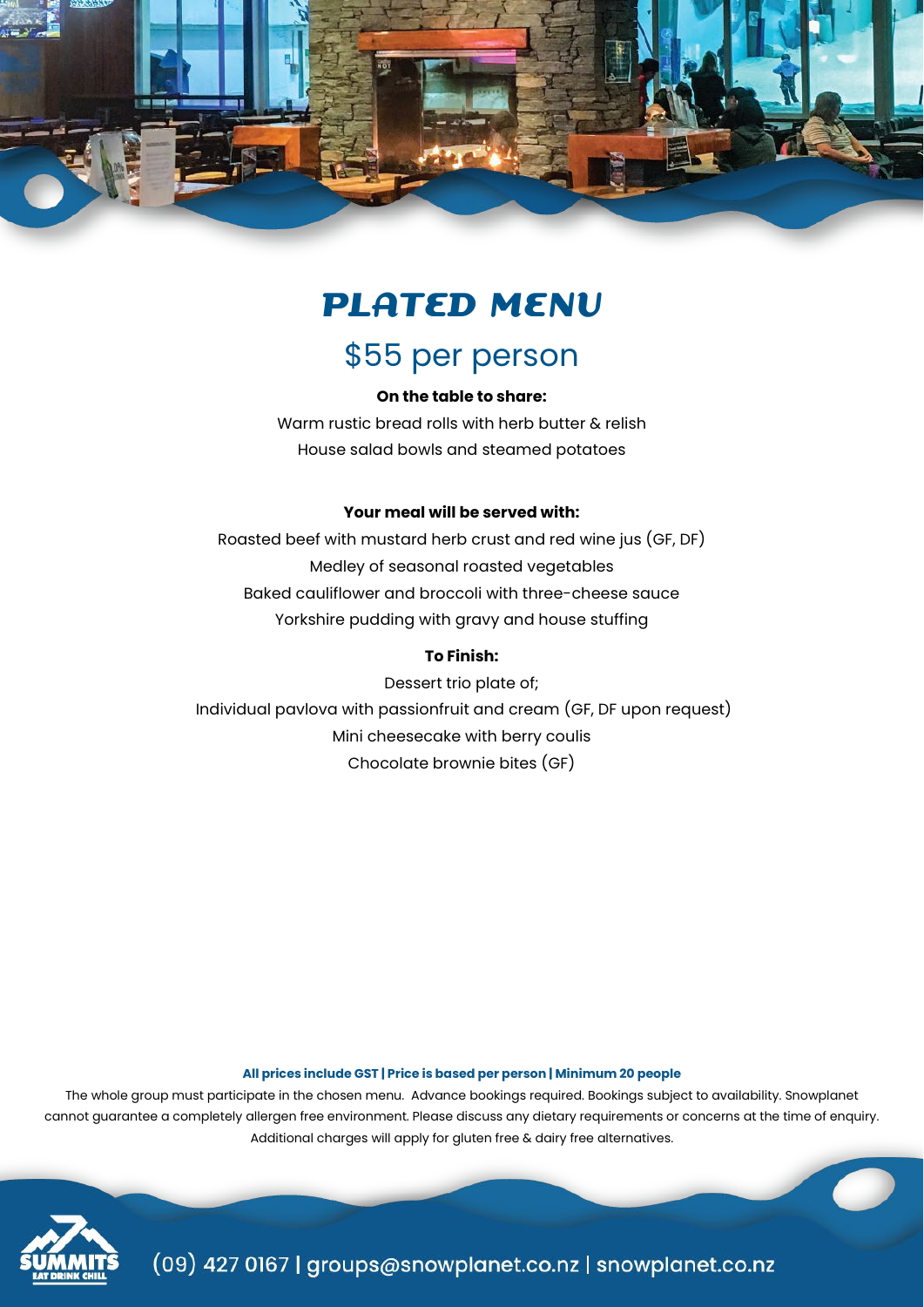

# **PLATED MENU**

# \$55 per person

## **On the table to share:**

Warm rustic bread rolls with herb butter & relish House salad bowls and steamed potatoes

#### **Your meal will be served with:**

Roasted beef with mustard herb crust and red wine jus (GF, DF) Medley of seasonal roasted vegetables Baked cauliflower and broccoli with three-cheese sauce Yorkshire pudding with gravy and house stuffing

# **To Finish:**

Dessert trio plate of; Individual pavlova with passionfruit and cream (GF, DF upon request) Mini cheesecake with berry coulis Chocolate brownie bites (GF)

#### **All prices include GST | Price is based per person | Minimum 20 people**

The whole group must participate in the chosen menu. Advance bookings required. Bookings subject to availability. Snowplanet cannot guarantee a completely allergen free environment. Please discuss any dietary requirements or concerns at the time of enquiry. Additional charges will apply for gluten free & dairy free alternatives.

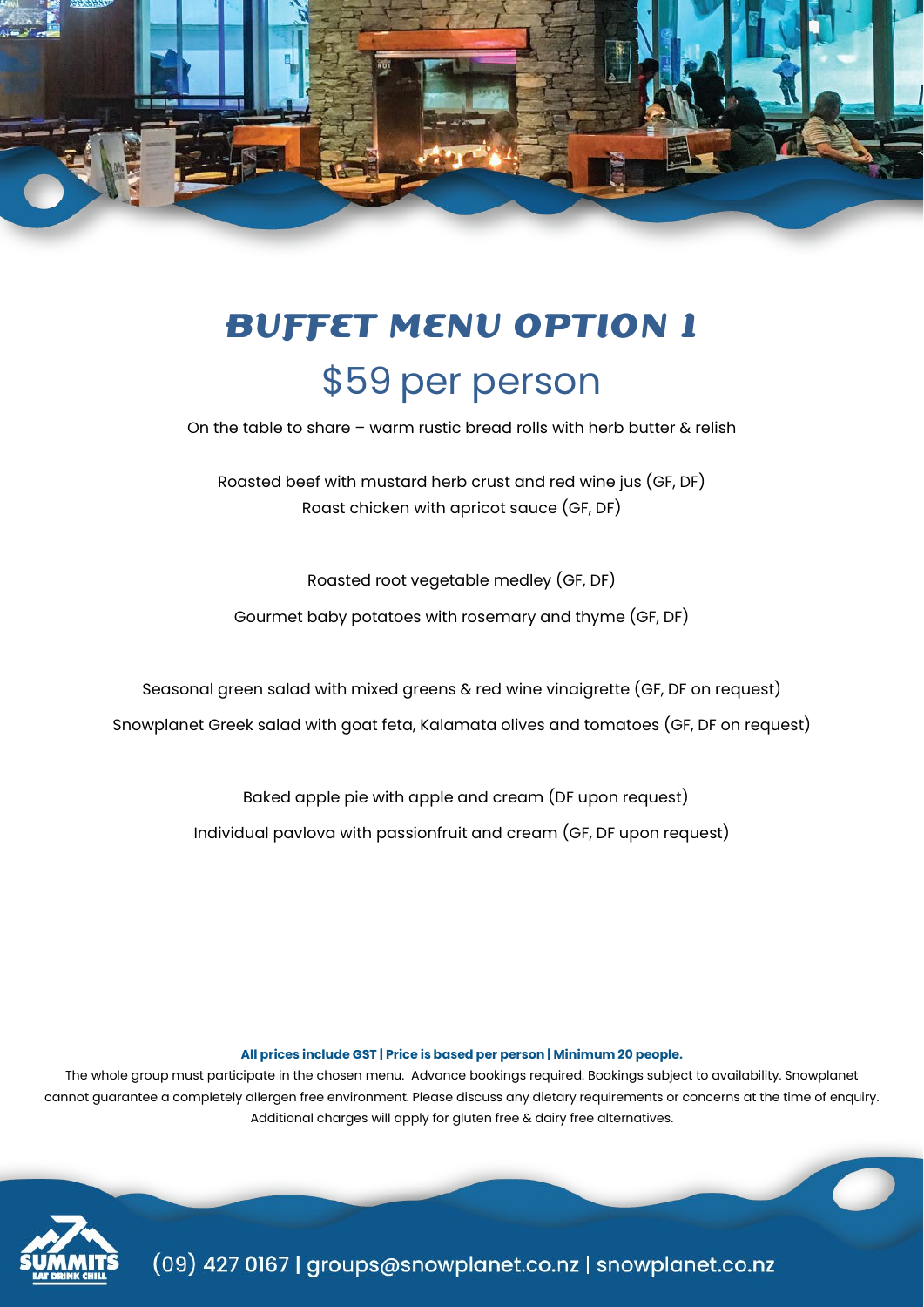

# **BUFFET MENU OPTION 1** \$59 per person

On the table to share – warm rustic bread rolls with herb butter & relish

Roasted beef with mustard herb crust and red wine jus (GF, DF) Roast chicken with apricot sauce (GF, DF)

Roasted root vegetable medley (GF, DF)

Gourmet baby potatoes with rosemary and thyme (GF, DF)

Seasonal green salad with mixed greens & red wine vinaigrette (GF, DF on request)

Snowplanet Greek salad with goat feta, Kalamata olives and tomatoes (GF, DF on request)

Baked apple pie with apple and cream (DF upon request)

Individual pavlova with passionfruit and cream (GF, DF upon request)

#### **All prices include GST | Price is based per person | Minimum 20 people.**

The whole group must participate in the chosen menu. Advance bookings required. Bookings subject to availability. Snowplanet cannot guarantee a completely allergen free environment. Please discuss any dietary requirements or concerns at the time of enquiry. Additional charges will apply for gluten free & dairy free alternatives.

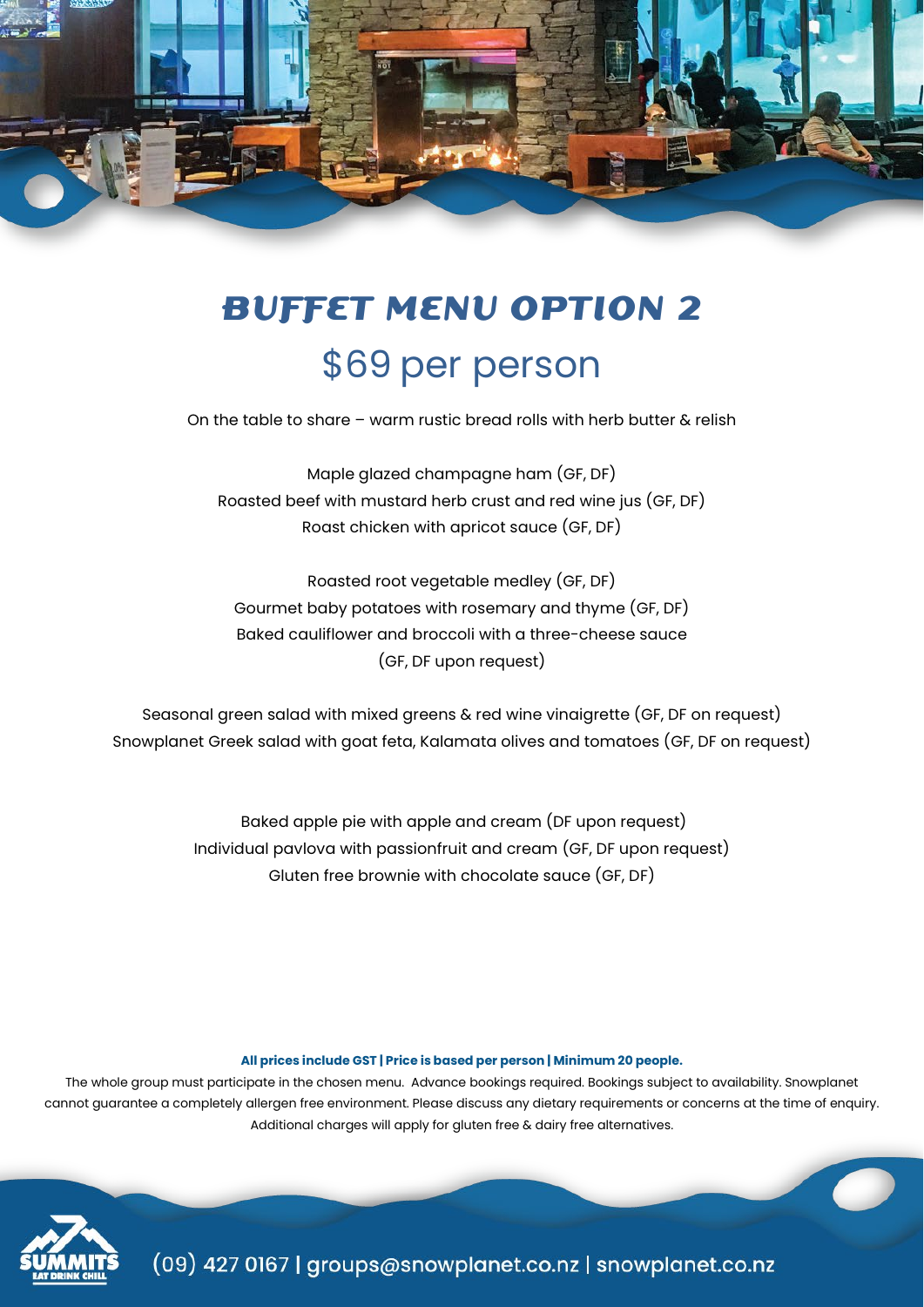

# **BUFFET MENU OPTION 2** \$69 per person

On the table to share – warm rustic bread rolls with herb butter & relish

Maple glazed champagne ham (GF, DF) Roasted beef with mustard herb crust and red wine jus (GF, DF) Roast chicken with apricot sauce (GF, DF)

Roasted root vegetable medley (GF, DF) Gourmet baby potatoes with rosemary and thyme (GF, DF) Baked cauliflower and broccoli with a three-cheese sauce (GF, DF upon request)

Seasonal green salad with mixed greens & red wine vinaigrette (GF, DF on request) Snowplanet Greek salad with goat feta, Kalamata olives and tomatoes (GF, DF on request)

> Baked apple pie with apple and cream (DF upon request) Individual pavlova with passionfruit and cream (GF, DF upon request) Gluten free brownie with chocolate sauce (GF, DF)

#### **All prices include GST | Price is based per person | Minimum 20 people.**

The whole group must participate in the chosen menu. Advance bookings required. Bookings subject to availability. Snowplanet cannot guarantee a completely allergen free environment. Please discuss any dietary requirements or concerns at the time of enquiry. Additional charges will apply for gluten free & dairy free alternatives.

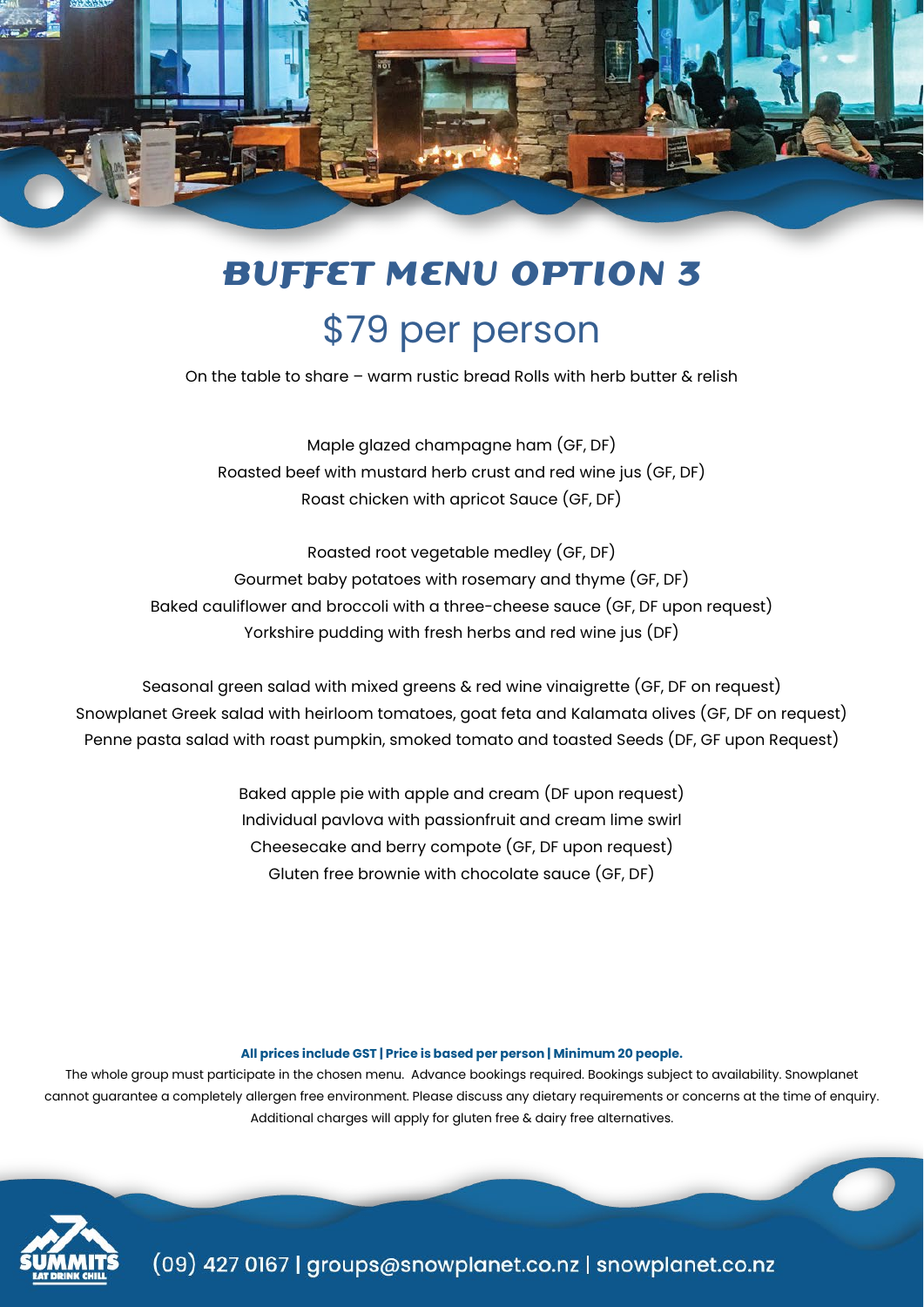

# **BUFFET MENU OPTION 3** \$79 per person

On the table to share – warm rustic bread Rolls with herb butter & relish

Maple glazed champagne ham (GF, DF) Roasted beef with mustard herb crust and red wine jus (GF, DF) Roast chicken with apricot Sauce (GF, DF)

Roasted root vegetable medley (GF, DF) Gourmet baby potatoes with rosemary and thyme (GF, DF) Baked cauliflower and broccoli with a three-cheese sauce (GF, DF upon request) Yorkshire pudding with fresh herbs and red wine jus (DF)

Seasonal green salad with mixed greens & red wine vinaigrette (GF, DF on request) Snowplanet Greek salad with heirloom tomatoes, goat feta and Kalamata olives (GF, DF on request) Penne pasta salad with roast pumpkin, smoked tomato and toasted Seeds (DF, GF upon Request)

> Baked apple pie with apple and cream (DF upon request) Individual pavlova with passionfruit and cream lime swirl Cheesecake and berry compote (GF, DF upon request) Gluten free brownie with chocolate sauce (GF, DF)

#### **All prices include GST | Price is based per person | Minimum 20 people.**

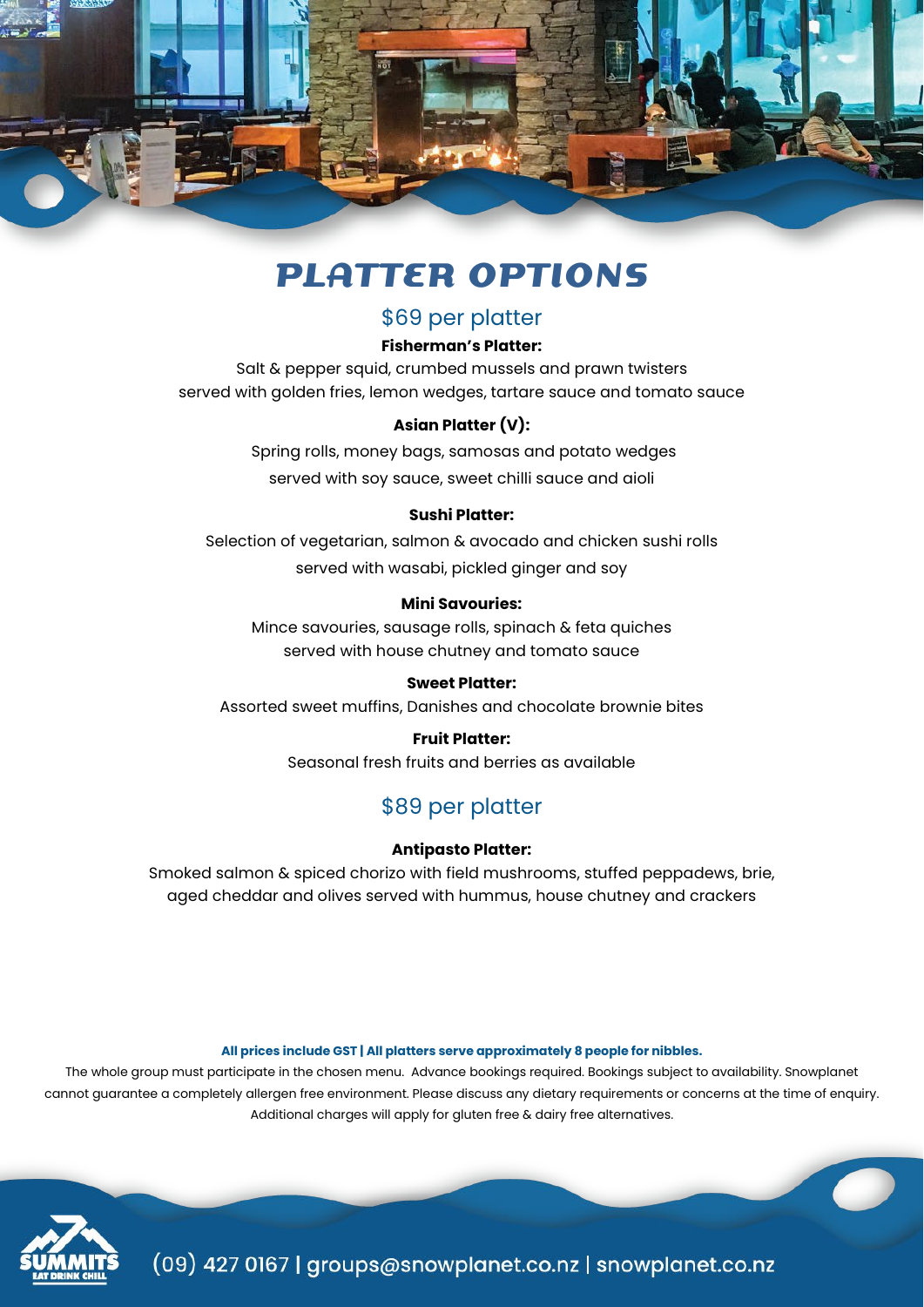

# **PLATTER OPTIONS**

# \$69 per platter

## **Fisherman's Platter:**

Salt & pepper squid, crumbed mussels and prawn twisters served with golden fries, lemon wedges, tartare sauce and tomato sauce

# **Asian Platter (V):**

Spring rolls, money bags, samosas and potato wedges served with soy sauce, sweet chilli sauce and aioli

## **Sushi Platter:**

Selection of vegetarian, salmon & avocado and chicken sushi rolls served with wasabi, pickled ginger and soy

# **Mini Savouries:**

Mince savouries, sausage rolls, spinach & feta quiches served with house chutney and tomato sauce

## **Sweet Platter:**

Assorted sweet muffins, Danishes and chocolate brownie bites

## **Fruit Platter:**

Seasonal fresh fruits and berries as available

# \$89 per platter

## **Antipasto Platter:**

Smoked salmon & spiced chorizo with field mushrooms, stuffed peppadews, brie, aged cheddar and olives served with hummus, house chutney and crackers

#### **All prices include GST | All platters serve approximately 8 people for nibbles.**

The whole group must participate in the chosen menu. Advance bookings required. Bookings subject to availability. Snowplanet cannot guarantee a completely allergen free environment. Please discuss any dietary requirements or concerns at the time of enquiry. Additional charges will apply for gluten free & dairy free alternatives.